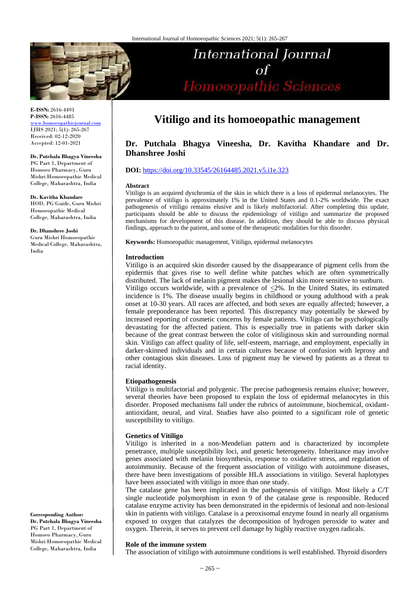

**E-ISSN:** 2616-4493 **P-ISSN:** 2616-4485 [www.homoeopathicjournal.com](file://Server/test/homoeopathicjournal/issue/vol%204/issue%201/www.homoeopathicjournal.com)

IJHS 2021; 5(1): 265-267 Received: 02-12-2020 Accepted: 12-01-2021

**Dr. Putchala Bhagya Vineesha** PG Part 1, Department of Homoeo Pharmacy, Guru Mishri Homoeopathic Medical College, Maharashtra, India

**Dr. Kavitha Khandare** HOD, PG Guide, Guru Mishri Homoeopathic Medical College, Maharashtra, India

**Dr. Dhanshree Joshi** Guru Mishri Homoeopathic Medical College, Maharashtra, India

**Corresponding Author:**

**Dr. Putchala Bhagya Vineesha** PG Part 1, Department of Homoeo Pharmacy, Guru Mishri Homoeopathic Medical College, Maharashtra, India

# **Vitiligo and its homoeopathic management**

**International Journal** 

Homoeopathic Sciences

## **Dr. Putchala Bhagya Vineesha, Dr. Kavitha Khandare and Dr. Dhanshree Joshi**

### **DOI:** <https://doi.org/10.33545/26164485.2021.v5.i1e.323>

#### **Abstract**

Vitiligo is an acquired dyschromia of the skin in which there is a loss of epidermal melanocytes. The prevalence of vitiligo is approximately 1% in the United States and 0.1-2% worldwide. The exact pathogenesis of vitiligo remains elusive and is likely multifactorial. After completing this update, participants should be able to discuss the epidemiology of vitiligo and summarize the proposed mechanisms for development of this disease. In addition, they should be able to discuss physical findings, approach to the patient, and some of the therapeutic modalities for this disorder.

**Keywords:** Homoeopathic management, Vitiligo, epidermal melanocytes

#### **Introduction**

Vitiligo is an acquired skin disorder caused by the disappearance of pigment cells from the epidermis that gives rise to well define white patches which are often symmetrically distributed. The lack of melanin pigment makes the lesional skin more sensitive to sunburn. Vitiligo occurs worldwide, with a prevalence of  $\leq$ 2%. In the United States, its estimated incidence is 1%. The disease usually begins in childhood or young adulthood with a peak onset at 10-30 years. All races are affected, and both sexes are equally affected; however, a female preponderance has been reported. This discrepancy may potentially be skewed by increased reporting of cosmetic concerns by female patients. Vitiligo can be psychologically devastating for the affected patient. This is especially true in patients with darker skin because of the great contrast between the color of vitiliginous skin and surrounding normal skin. Vitiligo can affect quality of life, self-esteem, marriage, and employment, especially in darker-skinned individuals and in certain cultures because of confusion with leprosy and other contagious skin diseases. Loss of pigment may be viewed by patients as a threat to racial identity.

#### **Etiopathogenesis**

Vitiligo is multifactorial and polygenic. The precise pathogenesis remains elusive; however, several theories have been proposed to explain the loss of epidermal melanocytes in this disorder. Proposed mechanisms fall under the rubrics of autoimmune, biochemical, oxidantantioxidant, neural, and viral. Studies have also pointed to a significant role of genetic susceptibility to vitiligo.

#### **Genetics of Vitiligo**

Vitiligo is inherited in a non-Mendelian pattern and is characterized by incomplete penetrance, multiple susceptibility loci, and genetic heterogeneity. Inheritance may involve genes associated with melanin biosynthesis, response to oxidative stress, and regulation of autoimmunity. Because of the frequent association of vitiligo with autoimmune diseases, there have been investigations of possible HLA associations in vitiligo. Several haplotypes have been associated with vitiligo in more than one study.

The catalase gene has been implicated in the pathogenesis of vitiligo. Most likely a C/T single nucleotide polymorphism in exon 9 of the catalase gene is responsible. Reduced catalase enzyme activity has been demonstrated in the epidermis of lesional and non-lesional skin in patients with vitiligo. Catalase is a peroxisomal enzyme found in nearly all organisms exposed to oxygen that catalyzes the decomposition of hydrogen peroxide to water and oxygen. Therein, it serves to prevent cell damage by highly reactive oxygen radicals.

#### **Role of the immune system**

The association of vitiligo with autoimmune conditions is well established. Thyroid disorders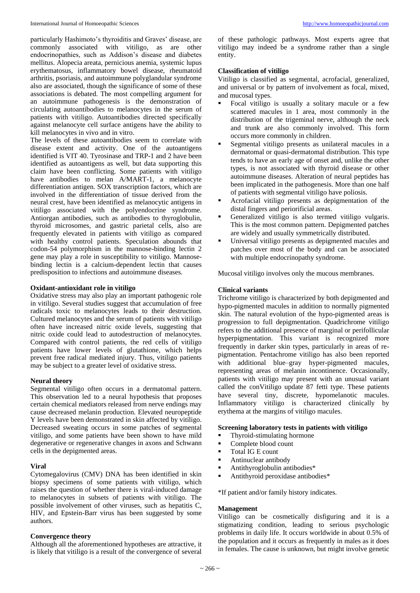particularly Hashimoto's thyroiditis and Graves' disease, are commonly associated with vitiligo, as are other endocrinopathies, such as Addison's disease and diabetes mellitus. Alopecia areata, pernicious anemia, systemic lupus erythematosus, inflammatory bowel disease, rheumatoid arthritis, psoriasis, and autoimmune polyglandular syndrome also are associated, though the significance of some of these associations is debated. The most compelling argument for an autoimmune pathogenesis is the demonstration of circulating autoantibodies to melanocytes in the serum of patients with vitiligo. Autoantibodies directed specifically against melanocyte cell surface antigens have the ability to kill melanocytes in vivo and in vitro.

The levels of these autoantibodies seem to correlate with disease extent and activity. One of the autoantigens identified is VIT 40. Tyrosinase and TRP-1 and 2 have been identified as autoantigens as well, but data supporting this claim have been conflicting. Some patients with vitiligo have antibodies to melan A/MART-1, a melanocyte differentiation antigen. SOX transcription factors, which are involved in the differentiation of tissue derived from the neural crest, have been identified as melanocytic antigens in vitiligo associated with the polyendocrine syndrome. Antiorgan antibodies, such as antibodies to thyroglobulin, thyroid microsomes, and gastric parietal cells, also are frequently elevated in patients with vitiligo as compared with healthy control patients. Speculation abounds that codon-54 polymorphism in the mannose-binding lectin 2 gene may play a role in susceptibility to vitiligo. Mannosebinding lectin is a calcium-dependent lectin that causes predisposition to infections and autoimmune diseases.

#### **Oxidant-antioxidant role in vitiligo**

Oxidative stress may also play an important pathogenic role in vitiligo. Several studies suggest that accumulation of free radicals toxic to melanocytes leads to their destruction. Cultured melanocytes and the serum of patients with vitiligo often have increased nitric oxide levels, suggesting that nitric oxide could lead to autodestruction of melanocytes. Compared with control patients, the red cells of vitiligo patients have lower levels of glutathione, which helps prevent free radical mediated injury. Thus, vitiligo patients may be subject to a greater level of oxidative stress.

#### **Neural theory**

Segmental vitiligo often occurs in a dermatomal pattern. This observation led to a neural hypothesis that proposes certain chemical mediators released from nerve endings may cause decreased melanin production. Elevated neuropeptide Y levels have been demonstrated in skin affected by vitiligo. Decreased sweating occurs in some patches of segmental vitiligo, and some patients have been shown to have mild degenerative or regenerative changes in axons and Schwann cells in the depigmented areas.

## **Viral**

Cytomegalovirus (CMV) DNA has been identified in skin biopsy specimens of some patients with vitiligo, which raises the question of whether there is viral-induced damage to melanocytes in subsets of patients with vitiligo. The possible involvement of other viruses, such as hepatitis C, HIV, and Epstein-Barr virus has been suggested by some authors.

## **Convergence theory**

Although all the aforementioned hypotheses are attractive, it is likely that vitiligo is a result of the convergence of several of these pathologic pathways. Most experts agree that vitiligo may indeed be a syndrome rather than a single entity.

## **Classification of vitiligo**

Vitiligo is classified as segmental, acrofacial, generalized, and universal or by pattern of involvement as focal, mixed, and mucosal types.

- Focal vitiligo is usually a solitary macule or a few scattered macules in 1 area, most commonly in the distribution of the trigeminal nerve, although the neck and trunk are also commonly involved. This form occurs more commonly in children.
- Segmental vitiligo presents as unilateral macules in a dermatomal or quasi-dermatomal distribution. This type tends to have an early age of onset and, unlike the other types, is not associated with thyroid disease or other autoimmune diseases. Alteration of neural peptides has been implicated in the pathogenesis. More than one half of patients with segmental vitiligo have poliosis.
- Acrofacial vitiligo presents as depigmentation of the distal fingers and periorificial areas.
- Generalized vitiligo is also termed vitiligo vulgaris. This is the most common pattern. Depigmented patches are widely and usually symmetrically distributed.
- Universal vitiligo presents as depigmented macules and patches over most of the body and can be associated with multiple endocrinopathy syndrome.

Mucosal vitiligo involves only the mucous membranes.

## **Clinical variants**

Trichrome vitiligo is characterized by both depigmented and hypo-pigmented macules in addition to normally pigmented skin. The natural evolution of the hypo-pigmented areas is progression to full depigmentation. Quadrichrome vitiligo refers to the additional presence of marginal or perifollicular hyperpigmentation. This variant is recognized more frequently in darker skin types, particularly in areas of repigmentation. Pentachrome vitiligo has also been reported with additional blue–gray hyper-pigmented macules, representing areas of melanin incontinence. Occasionally, patients with vitiligo may present with an unusual variant called the conVitiligo update 87 fetti type. These patients have several tiny, discrete, hypomelanotic macules. Inflammatory vitiligo is characterized clinically by erythema at the margins of vitiligo macules.

## **Screening laboratory tests in patients with vitiligo**

- Thyroid-stimulating hormone
- Complete blood count
- Total IG E count
- Antinuclear antibody
- **Antithyroglobulin antibodies\***
- Antithyroid peroxidase antibodies\*

\*If patient and/or family history indicates.

#### **Management**

Vitiligo can be cosmetically disfiguring and it is a stigmatizing condition, leading to serious psychologic problems in daily life. It occurs worldwide in about 0.5% of the population and it occurs as frequently in males as it does in females. The cause is unknown, but might involve genetic